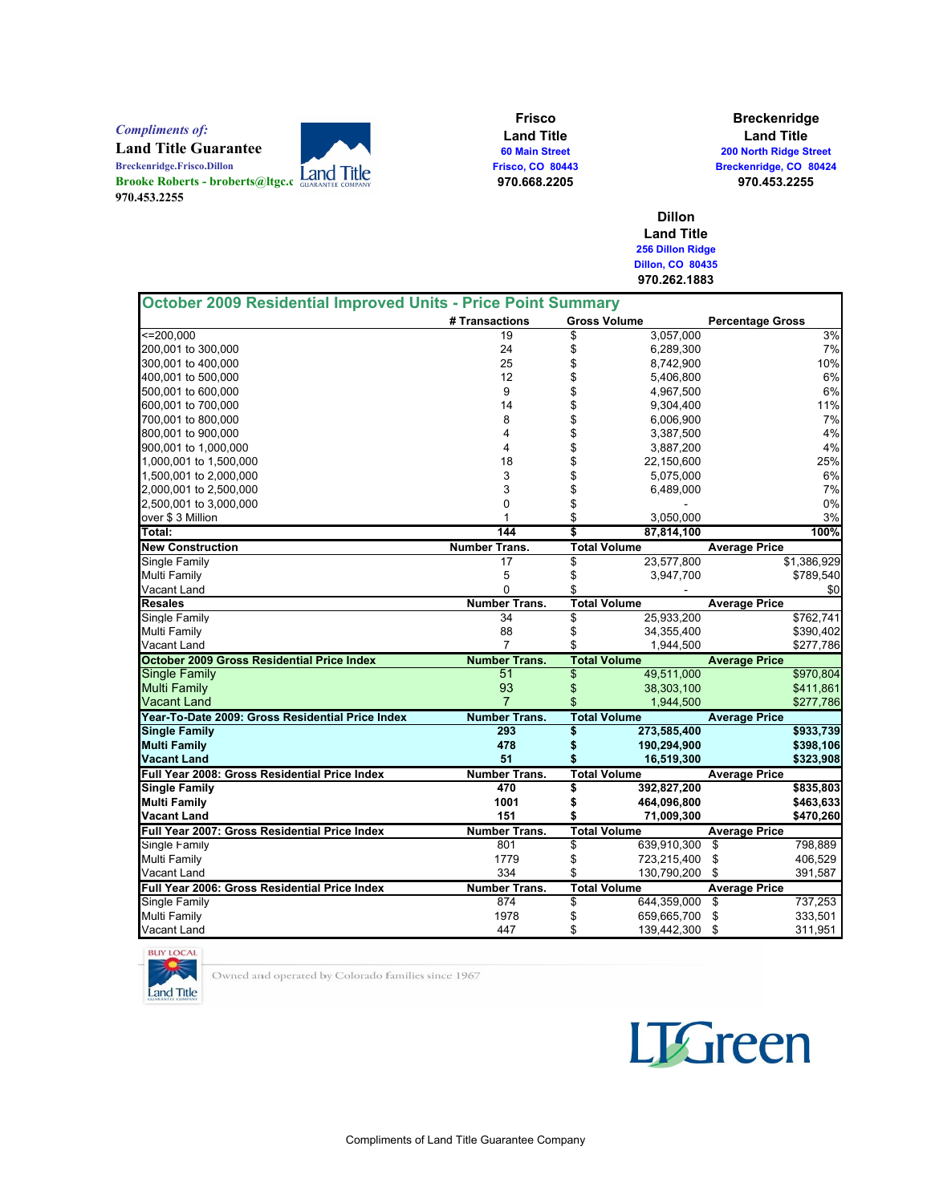Compliments of:

Breckenridge.Frisco.Dillon

970.453.2255

Land Title Guarantee<br>Breckenridge.Frisco.Dillon Brooke Roberts - broberts@ltgc.c

Frisco Land Title 60 Main Street Frisco, CO 80443 970.668.2205

Breckenridge Land Title 200 North Ridge Street Breckenridge, CO 80424 970.453.2255

Dillon Land Title 256 Dillon Ridge Dillon, CO 80435 970.262.1883

| October 2009 Residential Improved Units - Price Point Summary |                      |                     |             |                         |             |
|---------------------------------------------------------------|----------------------|---------------------|-------------|-------------------------|-------------|
|                                                               | # Transactions       | <b>Gross Volume</b> |             | <b>Percentage Gross</b> |             |
| $\leq$ = 200.000                                              | 19                   | \$                  | 3,057,000   |                         | 3%          |
| 200,001 to 300,000                                            | 24                   | \$                  | 6,289,300   |                         | 7%          |
| 300,001 to 400,000                                            | 25                   | \$                  | 8,742,900   |                         | 10%         |
| 400.001 to 500.000                                            | 12                   | \$                  | 5,406,800   |                         | 6%          |
| 500,001 to 600,000                                            | 9                    | \$                  | 4,967,500   |                         | 6%          |
| 600,001 to 700,000                                            | 14                   | \$                  | 9,304,400   |                         | 11%         |
| 700,001 to 800,000                                            | 8                    | \$                  | 6,006,900   |                         | 7%          |
| 800,001 to 900,000                                            | 4                    | \$                  | 3,387,500   |                         | 4%          |
| 900,001 to 1,000,000                                          | 4                    | \$                  | 3,887,200   |                         | 4%          |
| 1,000,001 to 1,500,000                                        | 18                   | \$                  | 22,150,600  |                         | 25%         |
| 1,500,001 to 2,000,000                                        | 3                    | \$                  | 5,075,000   |                         | 6%          |
| 2,000,001 to 2,500,000                                        | 3                    | \$                  | 6,489,000   |                         | 7%          |
| 2,500,001 to 3,000,000                                        | $\mathbf 0$          | \$                  |             |                         | 0%          |
| over \$3 Million                                              | 1                    | \$                  | 3,050,000   |                         | 3%          |
| Total:                                                        | 144                  | \$                  | 87,814,100  |                         | 100%        |
| <b>New Construction</b>                                       | <b>Number Trans.</b> | <b>Total Volume</b> |             | <b>Average Price</b>    |             |
| Single Family                                                 | 17                   | \$                  | 23,577,800  |                         | \$1,386,929 |
| Multi Family                                                  | 5                    | \$                  | 3,947,700   |                         | \$789,540   |
| Vacant Land                                                   | $\Omega$             | \$                  |             |                         | \$0         |
| <b>Resales</b>                                                | <b>Number Trans.</b> | <b>Total Volume</b> |             | <b>Average Price</b>    |             |
| Single Family                                                 | 34                   | \$                  | 25,933,200  |                         | \$762,741   |
| Multi Family                                                  | 88                   | \$                  | 34,355,400  |                         | \$390,402   |
| Vacant Land                                                   | 7                    | \$                  | 1,944,500   |                         | \$277,786   |
| <b>October 2009 Gross Residential Price Index</b>             | <b>Number Trans.</b> | <b>Total Volume</b> |             | <b>Average Price</b>    |             |
| <b>Single Family</b>                                          | 51                   | \$                  | 49,511,000  |                         | \$970,804   |
| <b>Multi Family</b>                                           | 93                   | \$                  | 38,303,100  |                         | \$411,861   |
| Vacant Land                                                   | $\overline{7}$       | \$                  | 1,944,500   |                         | \$277,786   |
| Year-To-Date 2009: Gross Residential Price Index              | <b>Number Trans.</b> | <b>Total Volume</b> |             | <b>Average Price</b>    |             |
| <b>Single Family</b>                                          | 293                  | \$                  | 273,585,400 |                         | \$933,739   |
| <b>Multi Family</b>                                           | 478                  | \$                  | 190,294,900 |                         | \$398,106   |
| Vacant Land                                                   | 51                   | \$                  | 16,519,300  |                         | \$323,908   |
| Full Year 2008: Gross Residential Price Index                 | <b>Number Trans.</b> | <b>Total Volume</b> |             | <b>Average Price</b>    |             |
| <b>Single Family</b>                                          | 470                  | \$                  | 392,827,200 |                         | \$835,803   |
| <b>Multi Family</b>                                           | 1001                 | \$                  | 464,096,800 |                         | \$463,633   |
| Vacant Land                                                   | 151                  | \$                  | 71,009,300  |                         | \$470,260   |
| Full Year 2007: Gross Residential Price Index                 | <b>Number Trans.</b> | <b>Total Volume</b> |             | <b>Average Price</b>    |             |
| Single Family                                                 | 801                  | \$                  | 639,910,300 | \$                      | 798,889     |
| Multi Family                                                  | 1779                 | \$                  | 723,215,400 | \$                      | 406,529     |
| Vacant Land                                                   | 334                  | \$                  | 130,790,200 | \$                      | 391,587     |
| Full Year 2006: Gross Residential Price Index                 | <b>Number Trans.</b> | <b>Total Volume</b> |             | <b>Average Price</b>    |             |
| Single Family                                                 | 874                  | \$                  | 644,359,000 | \$                      | 737,253     |
| <b>Multi Family</b>                                           | 1978                 | \$                  | 659,665,700 | \$                      | 333,501     |
| Vacant Land                                                   | 447                  | \$                  | 139,442,300 | \$                      | 311,951     |



Owned and operated by Colorado families since 1967

**LTGreen**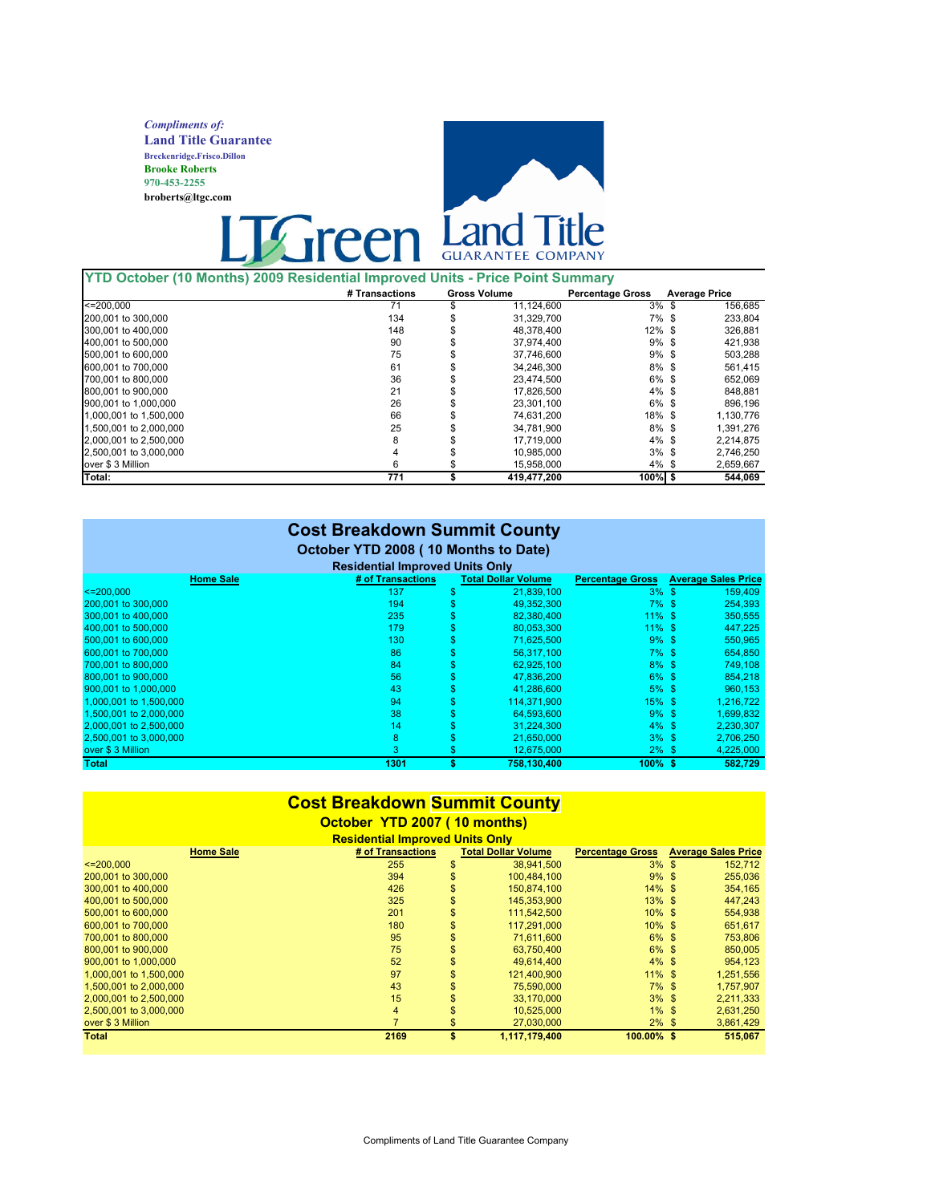Compliments of: Land Title Guarantee Breckenridge.Frisco.Dillon Brooke Roberts 970-453-2255 broberts@ltgc.com



#### YTD October (10 Months) 2009 Residential Improved Units - Price Point Summary

|                        | # Transactions | <b>Gross Volume</b> | <b>Percentage Gross</b> | <b>Average Price</b> |           |
|------------------------|----------------|---------------------|-------------------------|----------------------|-----------|
| $\leq$ 200.000         | 71             | 11,124,600          | $3\%$ \$                |                      | 156,685   |
| 200,001 to 300,000     | 134            | 31.329.700          | $7\%$ \$                |                      | 233,804   |
| 300,001 to 400,000     | 148            | 48,378,400          | $12\%$ \$               |                      | 326,881   |
| 400,001 to 500,000     | 90             | 37.974.400          | $9\%$ \$                |                      | 421.938   |
| 500,001 to 600,000     | 75             | 37.746.600          | $9\%$ \$                |                      | 503,288   |
| 600,001 to 700,000     | 61             | 34.246.300          | $8\%$ \$                |                      | 561.415   |
| 700,001 to 800,000     | 36             | 23.474.500          | $6\%$ \$                |                      | 652.069   |
| 800,001 to 900,000     | 21             | 17,826,500          | $4\%$ \$                |                      | 848,881   |
| 900,001 to 1,000,000   | 26             | 23.301.100          | $6\%$ \$                |                      | 896.196   |
| 1.000.001 to 1.500.000 | 66             | 74.631.200          | $18\%$ \$               |                      | 1,130,776 |
| 1.500.001 to 2.000.000 | 25             | 34.781.900          | $8\%$ \$                |                      | 1.391.276 |
| 2,000,001 to 2,500,000 | 8              | 17.719.000          | $4\%$ \$                |                      | 2.214.875 |
| 2.500,001 to 3.000,000 | 4              | 10.985.000          | $3\%$ \$                |                      | 2.746.250 |
| over \$3 Million       | 6              | 15.958.000          | $4\%$ \$                |                      | 2.659.667 |
| Total:                 | 771            | 419.477.200         | $100\%$ \$              |                      | 544.069   |

| <b>Cost Breakdown Summit County</b><br>October YTD 2008 (10 Months to Date)<br><b>Residential Improved Units Only</b> |                   |    |                            |                         |  |                            |  |  |
|-----------------------------------------------------------------------------------------------------------------------|-------------------|----|----------------------------|-------------------------|--|----------------------------|--|--|
| <b>Home Sale</b>                                                                                                      | # of Transactions |    | <b>Total Dollar Volume</b> | <b>Percentage Gross</b> |  | <b>Average Sales Price</b> |  |  |
| $\leq$ 200.000                                                                                                        | 137               | \$ | 21,839,100                 | $3\%$ \$                |  | 159,409                    |  |  |
| 200,001 to 300,000                                                                                                    | 194               |    | 49.352.300                 | $7\%$ \$                |  | 254,393                    |  |  |
| 300.001 to 400.000                                                                                                    | 235               |    | 82,380,400                 | $11\%$ \$               |  | 350,555                    |  |  |
| 400,001 to 500,000                                                                                                    | 179<br>\$         |    | 80,053,300                 | $11\%$ \$               |  | 447,225                    |  |  |
| 500.001 to 600.000                                                                                                    | 130               |    | 71,625,500                 | $9\%$ \$                |  | 550,965                    |  |  |
| 600,001 to 700,000                                                                                                    | 86<br>S           |    | 56,317,100                 | $7\%$ \$                |  | 654,850                    |  |  |
| 700,001 to 800,000                                                                                                    | 84<br>\$          |    | 62,925,100                 | $8\%$ \$                |  | 749,108                    |  |  |
| 800.001 to 900.000                                                                                                    | 56<br>S           |    | 47.836.200                 | $6\%$ \$                |  | 854,218                    |  |  |
| 900,001 to 1,000,000                                                                                                  | \$<br>43          |    | 41,286,600                 | $5\%$ \$                |  | 960,153                    |  |  |
| 1,000,001 to 1,500,000                                                                                                | 94                |    | 114,371,900                | $15\%$ \$               |  | 1,216,722                  |  |  |
| 1,500,001 to 2,000,000                                                                                                | 38<br>S           |    | 64,593,600                 | $9\%$ \$                |  | 1,699,832                  |  |  |
| 2,000,001 to 2,500,000                                                                                                | 14                |    | 31.224.300                 | $4\%$ \$                |  | 2,230,307                  |  |  |
| 2,500,001 to 3,000,000                                                                                                | 8<br>S            |    | 21,650,000                 | $3\%$ \$                |  | 2,706,250                  |  |  |
| over \$3 Million                                                                                                      | 3<br>S            |    | 12,675,000                 | $2\%$ \$                |  | 4,225,000                  |  |  |
| <b>Total</b>                                                                                                          | 1301<br>\$        |    | 758,130,400                | $100\%$ \$              |  | 582,729                    |  |  |

#### Cost Breakdown [Summit County](http://www.luckymountainhome.com/summit_county_real_estate/)

#### October YTD 2007 ( 10 months)

| <b>Home Sale</b> | # of Transactions | <b>Total Dollar Volume</b> | <b>Percentage Gross Average Sales Price</b> |         |
|------------------|-------------------|----------------------------|---------------------------------------------|---------|
|                  | 255               | 38.941.500                 | $3\%$ \$                                    | 152.712 |
|                  | 394               | 100.484.100                | $9\%$ \$                                    | 255,036 |

| <b>Total</b>           | 2169 |                | 1,117,179,400 | 100.00% \$ | 515.067   |
|------------------------|------|----------------|---------------|------------|-----------|
| over \$3 Million       | ⇁    |                | 27.030.000    | $2\%$ \$   | 3,861,429 |
| 2.500,001 to 3,000,000 | 4    |                | 10.525.000    | $1\%$ \$   | 2,631,250 |
| 2,000,001 to 2,500,000 | 15   |                | 33.170.000    | $3\%$ \$   | 2,211,333 |
| 1.500,001 to 2,000,000 | 43   |                | 75.590.000    | $7\%$ \$   | 1.757.907 |
| 1,000,001 to 1,500,000 | 97   |                | 121.400.900   | $11\%$ \$  | 1,251,556 |
| 900,001 to 1,000,000   | 52   | \$             | 49.614.400    | $4\%$ \$   | 954.123   |
| 800,001 to 900,000     | 75   |                | 63.750.400    | $6\%$ \$   | 850,005   |
| 700,001 to 800,000     | 95   | \$             | 71.611.600    | $6\%$ \$   | 753,806   |
| 600,001 to 700,000     | 180  | \$             | 117.291.000   | $10\%$ \$  | 651.617   |
| 500,001 to 600,000     | 201  | \$             | 111,542,500   | $10\%$ \$  | 554,938   |
| 400,001 to 500,000     | 325  | $\mathfrak{s}$ | 145.353.900   | $13\%$ \$  | 447.243   |
| 300,001 to 400,000     | 426  | \$             | 150.874.100   | $14\%$ \$  | 354,165   |
| 200,001 to 300,000     | 394  | \$             | 100.484.100   | $9\%$ \$   | 255,036   |
| $\leq$ 200.000         | 255  |                | 38.941.500    | $3\%$ \$   | 152.712   |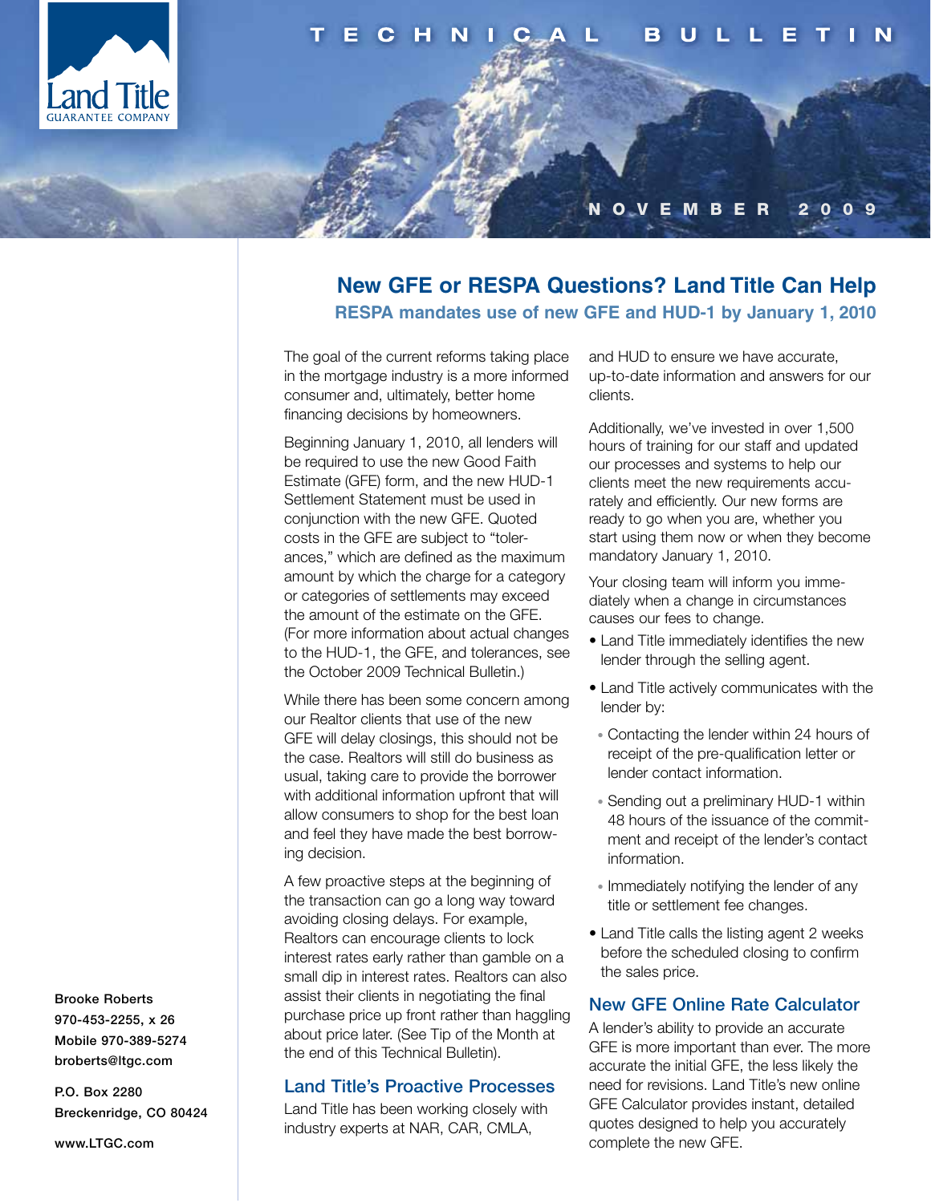

#### N O V E M B E R 2 0 0 9

#### **New GFE or RESPA Questions? Land Title Can Help RESPA mandates use of new GFE and HUD-1 by January 1, 2010**

The goal of the current reforms taking place in the mortgage industry is a more informed consumer and, ultimately, better home financing decisions by homeowners.

Beginning January 1, 2010, all lenders will be required to use the new Good Faith Estimate (GFE) form, and the new HUD-1 Settlement Statement must be used in conjunction with the new GFE. Quoted costs in the GFE are subject to "tolerances," which are defined as the maximum amount by which the charge for a category or categories of settlements may exceed the amount of the estimate on the GFE. (For more information about actual changes to the HUD-1, the GFE, and tolerances, see the October 2009 Technical Bulletin.)

While there has been some concern among our Realtor clients that use of the new GFE will delay closings, this should not be the case. Realtors will still do business as usual, taking care to provide the borrower with additional information upfront that will allow consumers to shop for the best loan and feel they have made the best borrowing decision.

A few proactive steps at the beginning of the transaction can go a long way toward avoiding closing delays. For example, Realtors can encourage clients to lock interest rates early rather than gamble on a small dip in interest rates. Realtors can also assist their clients in negotiating the final purchase price up front rather than haggling about price later. (See Tip of the Month at the end of this Technical Bulletin).

#### Land Title's Proactive Processes

Land Title has been working closely with industry experts at NAR, CAR, CMLA,

and HUD to ensure we have accurate, up-to-date information and answers for our clients.

Additionally, we've invested in over 1,500 hours of training for our staff and updated our processes and systems to help our clients meet the new requirements accurately and efficiently. Our new forms are ready to go when you are, whether you start using them now or when they become mandatory January 1, 2010.

Your closing team will inform you immediately when a change in circumstances causes our fees to change.

- Land Title immediately identifies the new lender through the selling agent.
- Land Title actively communicates with the lender by:
- Contacting the lender within 24 hours of receipt of the pre-qualification letter or lender contact information.
- Sending out a preliminary HUD-1 within 48 hours of the issuance of the commitment and receipt of the lender's contact information.
- Immediately notifying the lender of any title or settlement fee changes.
- Land Title calls the listing agent 2 weeks before the scheduled closing to confirm the sales price.

#### New GFE Online Rate Calculator

A lender's ability to provide an accurate GFE is more important than ever. The more accurate the initial GFE, the less likely the need for revisions. Land Title's new online GFE Calculator provides instant, detailed quotes designed to help you accurately complete the new GFE.

Brooke Roberts 970-453-2255, x 26 Mobile 970-389-5274 broberts@ltgc.com

P.O. Box 2280 Breckenridge, CO 80424

www.LTGC.com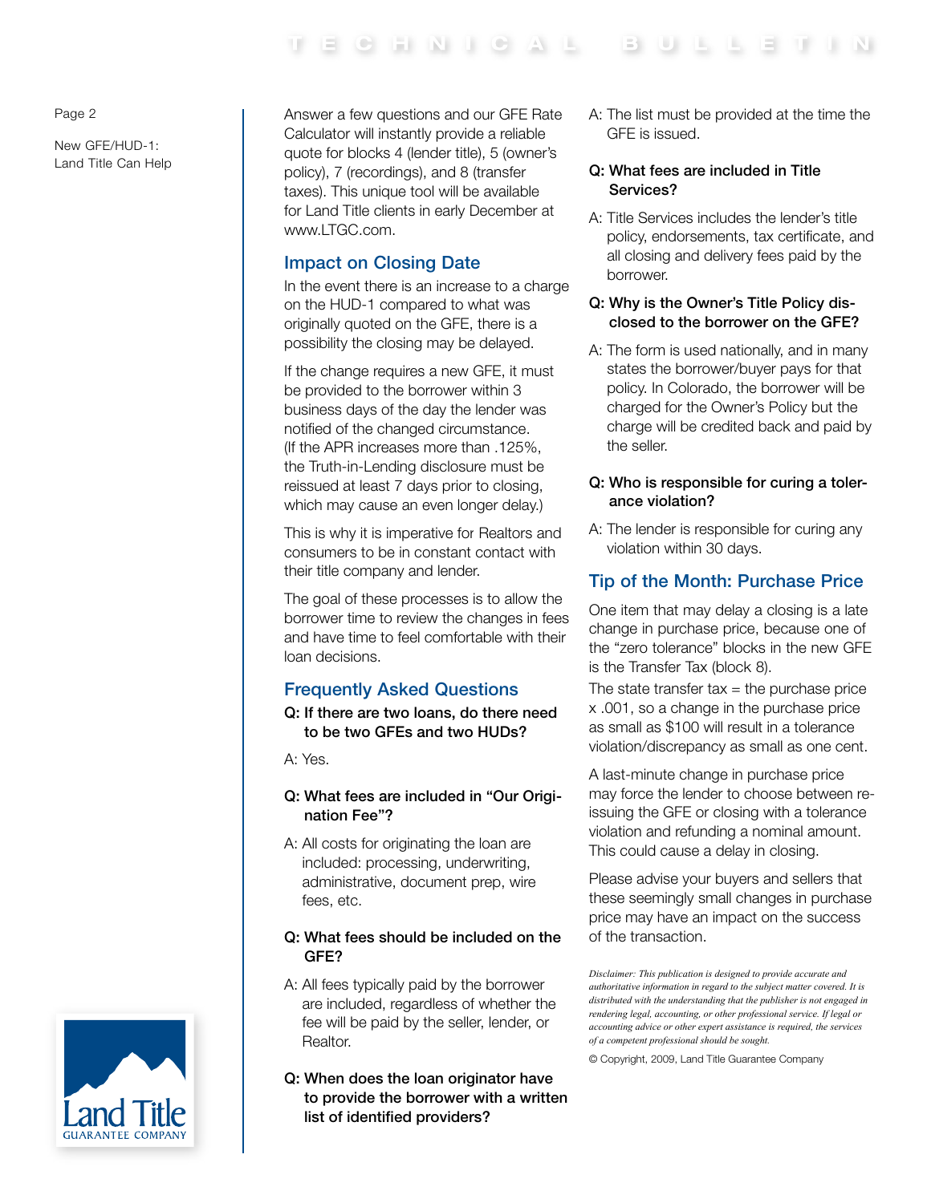#### Page 2

New GFE/HUD-1: Land Title Can Help Answer a few questions and our GFE Rate Calculator will instantly provide a reliable quote for blocks 4 (lender title), 5 (owner's policy), 7 (recordings), and 8 (transfer taxes). This unique tool will be available for Land Title clients in early December at www.LTGC.com.

#### Impact on Closing Date

In the event there is an increase to a charge on the HUD-1 compared to what was originally quoted on the GFE, there is a possibility the closing may be delayed.

If the change requires a new GFE, it must be provided to the borrower within 3 business days of the day the lender was notified of the changed circumstance. (If the APR increases more than .125%, the Truth-in-Lending disclosure must be reissued at least 7 days prior to closing, which may cause an even longer delay.)

This is why it is imperative fo[r Realtors](http://www.luckymountainhome.com/service/) and consumers to be in constant contact with their title company and lender.

The goal of these processes is to allow the borrower time to review the changes in fees and have time to feel comfortable with their loan decisions.

### Frequently Asked Questions

Q: If there are two loans, do there need to be two GFEs and two HUDs?

A: Yes.

#### Q: What fees are included in "Our Origination Fee"?

A: All costs for originating the loan are included: processing, underwriting, administrative, document prep, wire fees, etc.

#### Q: What fees should be included on the GFE?

- A: All fees typically paid by the borrower are included, regardless of whether the fee will be paid by the seller, lender, or Realtor.
- Q: When does the loan originator have to provide the borrower with a written list of identified providers?

A: The list must be provided at the time the GFE is issued.

#### Q: What fees are included in Title Services?

A: Title Services includes the lender's title policy, endorsements, tax certificate, and all closing and delivery fees paid by the borrower.

#### Q: Why is the Owner's Title Policy disclosed to the borrower on the GFE?

A: The form is used nationally, and in many states the borrower/buyer pays for that policy. In Colorado, the borrower will be charged for the Owner's Policy but the charge will be credited back and paid by the seller.

#### Q: Who is responsible for curing a tolerance violation?

A: The lender is responsible for curing any violation within 30 days.

### Tip of the Month: Purchase Price

One item that may delay a closing is a late change in purchase price, because one of the "zero tolerance" blocks in the new GFE is the Transfer Tax (block 8).

The state transfer tax  $=$  the purchase price x .001, so a change in the purchase price as small as \$100 will result in a tolerance violation/discrepancy as small as one cent.

A last-minute change in purchase price may force the lender to choose between reissuing the GFE or closing with a tolerance violation and refunding a nominal amount. This could cause a delay in closing.

Please advise your buyers and sellers that these seemingly small changes in purchase price may have an impact on the success of the transaction.

© Copyright, 2009, Land Title Guarantee Company



*Disclaimer: This publication is designed to provide accurate and authoritative information in regard to the subject matter covered. It is distributed with the understanding that the publisher is not engaged in rendering legal, accounting, or other professional service. If legal or accounting advice or other expert assistance is required, the services of a competent professional should be sought.*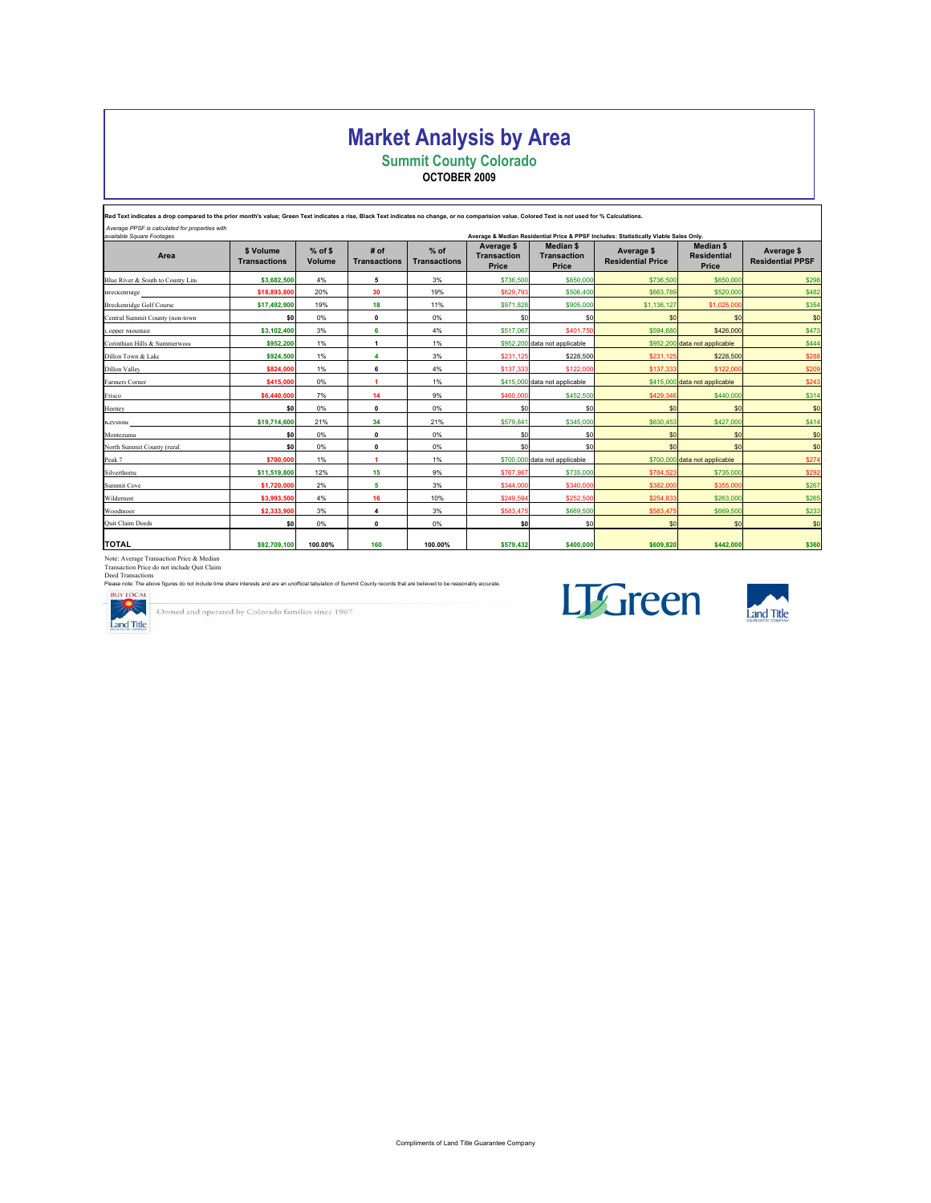## Market Analysis by Area

Summit County Colorado

OCTOBER 2009

| Red Text indicates a drop compared to the prior month's value: Green Text indicates a rise. Black Text indicates no change, or no comparision value. Colored Text is not used for % Calculations. |                                  |                     |                             |                               |                                           |                                                 |                                                                                      |                                                 |                                       |
|---------------------------------------------------------------------------------------------------------------------------------------------------------------------------------------------------|----------------------------------|---------------------|-----------------------------|-------------------------------|-------------------------------------------|-------------------------------------------------|--------------------------------------------------------------------------------------|-------------------------------------------------|---------------------------------------|
| Average PPSF is calculated for properties with<br>available Square Footages                                                                                                                       |                                  |                     |                             |                               |                                           |                                                 | Average & Median Residential Price & PPSF Includes: Statistically Viable Sales Only. |                                                 |                                       |
| Area                                                                                                                                                                                              | \$ Volume<br><b>Transactions</b> | $%$ of \$<br>Volume | # of<br><b>Transactions</b> | $%$ of<br><b>Transactions</b> | Average \$<br><b>Transaction</b><br>Price | <b>Median \$</b><br><b>Transaction</b><br>Price | Average \$<br><b>Residential Price</b>                                               | <b>Median \$</b><br><b>Residential</b><br>Price | Average \$<br><b>Residential PPSF</b> |
| Blue River & South to County Line                                                                                                                                                                 | \$3,682,500                      | 4%                  | 5                           | 3%                            | \$736,500                                 | \$650,000                                       | \$736,500                                                                            | \$650,000                                       | \$298                                 |
| Breckenridge                                                                                                                                                                                      | \$18,893,800                     | 20%                 | 30                          | 19%                           | \$629,793                                 | \$506,400                                       | \$663,789                                                                            | \$520,000                                       | \$482                                 |
| <b>Breckenridge Golf Course</b>                                                                                                                                                                   | \$17,492,900                     | 19%                 | 18                          | 11%                           | \$971.828                                 | \$905,000                                       | \$1,136,127                                                                          | \$1,025,000                                     | \$354                                 |
| Central Summit County (non-town                                                                                                                                                                   | \$O                              | 0%                  | 0                           | 0%                            | \$0                                       | S <sub>0</sub>                                  | \$0                                                                                  | \$0                                             | \$0                                   |
| Copper Mountain                                                                                                                                                                                   | \$3,102,400                      | 3%                  | 6                           | 4%                            | \$517,067                                 | \$401,750                                       | \$594,680                                                                            | \$426,000                                       | \$473                                 |
| Corinthian Hills & Summerwood                                                                                                                                                                     | \$952,200                        | 1%                  | $\mathbf{1}$                | 1%                            |                                           | \$952,200 data not applicable                   |                                                                                      | \$952,200 data not applicable                   | \$444                                 |
| Dillon Town & Lake                                                                                                                                                                                | \$924,500                        | 1%                  | 4                           | 3%                            | \$231.125                                 | \$228.500                                       | \$231.125                                                                            | \$228,500                                       | \$288                                 |
| <b>Dillon Valley</b>                                                                                                                                                                              | \$824,000                        | 1%                  | 6                           | 4%                            | \$137,333                                 | \$122,000                                       | \$137,333                                                                            | \$122,000                                       | \$209                                 |
| Farmers Corner                                                                                                                                                                                    | \$415,000                        | 0%                  | 1                           | 1%                            |                                           | \$415,000 data not applicable                   |                                                                                      | \$415,000 data not applicable                   | \$243                                 |
| Frisco                                                                                                                                                                                            | \$6,440,000                      | 7%                  | 14                          | 9%                            | \$460,000                                 | \$452,500                                       | \$429,346                                                                            | \$440,000                                       | \$314                                 |
| Heeney                                                                                                                                                                                            | \$0                              | 0%                  | 0                           | 0%                            | \$0                                       | S <sub>0</sub>                                  | \$0                                                                                  | \$0                                             | \$0                                   |
| Keystone                                                                                                                                                                                          | \$19,714,600                     | 21%                 | 34                          | 21%                           | \$579.841                                 | \$345,000                                       | \$630.453                                                                            | \$427,000                                       | \$414                                 |
| Montezuma                                                                                                                                                                                         | \$O                              | 0%                  | 0                           | 0%                            | \$0                                       | S <sub>0</sub>                                  | \$0                                                                                  | \$0                                             | \$0                                   |
| North Summit County (rural                                                                                                                                                                        | \$O                              | 0%                  | 0                           | 0%                            | \$0                                       | \$0                                             | \$0                                                                                  | \$0                                             | \$0                                   |
| Peak 7                                                                                                                                                                                            | \$700,000                        | 1%                  | 1                           | 1%                            |                                           | \$700,000 data not applicable                   |                                                                                      | \$700,000 data not applicable                   | \$274                                 |
| Silverthorne                                                                                                                                                                                      | \$11,519,800                     | 12%                 | 15                          | 9%                            | \$767.987                                 | \$735,000                                       | \$784.523                                                                            | \$735,000                                       | \$292                                 |
| Summit Cove                                                                                                                                                                                       | \$1,720,000                      | 2%                  | 5                           | 3%                            | \$344,000                                 | \$340,000                                       | \$382,000                                                                            | \$355,000                                       | \$267                                 |
| Wildernest                                                                                                                                                                                        | \$3,993,500                      | 4%                  | 16                          | 10%                           | \$249.594                                 | \$252,500                                       | \$254,833                                                                            | \$263,000                                       | \$265                                 |
| Woodmoor                                                                                                                                                                                          | \$2,333,900                      | 3%                  | 4                           | 3%                            | \$583.475                                 | \$669,500                                       | \$583,475                                                                            | \$669,500                                       | \$233                                 |
| Quit Claim Deeds                                                                                                                                                                                  | \$O                              | 0%                  | $\mathbf 0$                 | 0%                            | \$0                                       | \$0                                             | \$0                                                                                  | \$0                                             | \$0                                   |
| <b>TOTAL</b>                                                                                                                                                                                      | \$92,709,100                     | 100.00%             | 160                         | 100.00%                       | \$579,432                                 | \$400,000                                       | \$609,820                                                                            | \$442,000                                       | \$360                                 |

Note: Average Transaction Price & Median<br>Transaction Price do not include Quit Claim<br>Dease note: The above figures do not include time share interests and are an unofficial tabulation of Summit County records that are beli

Owned and operated by Colorado families since 1967





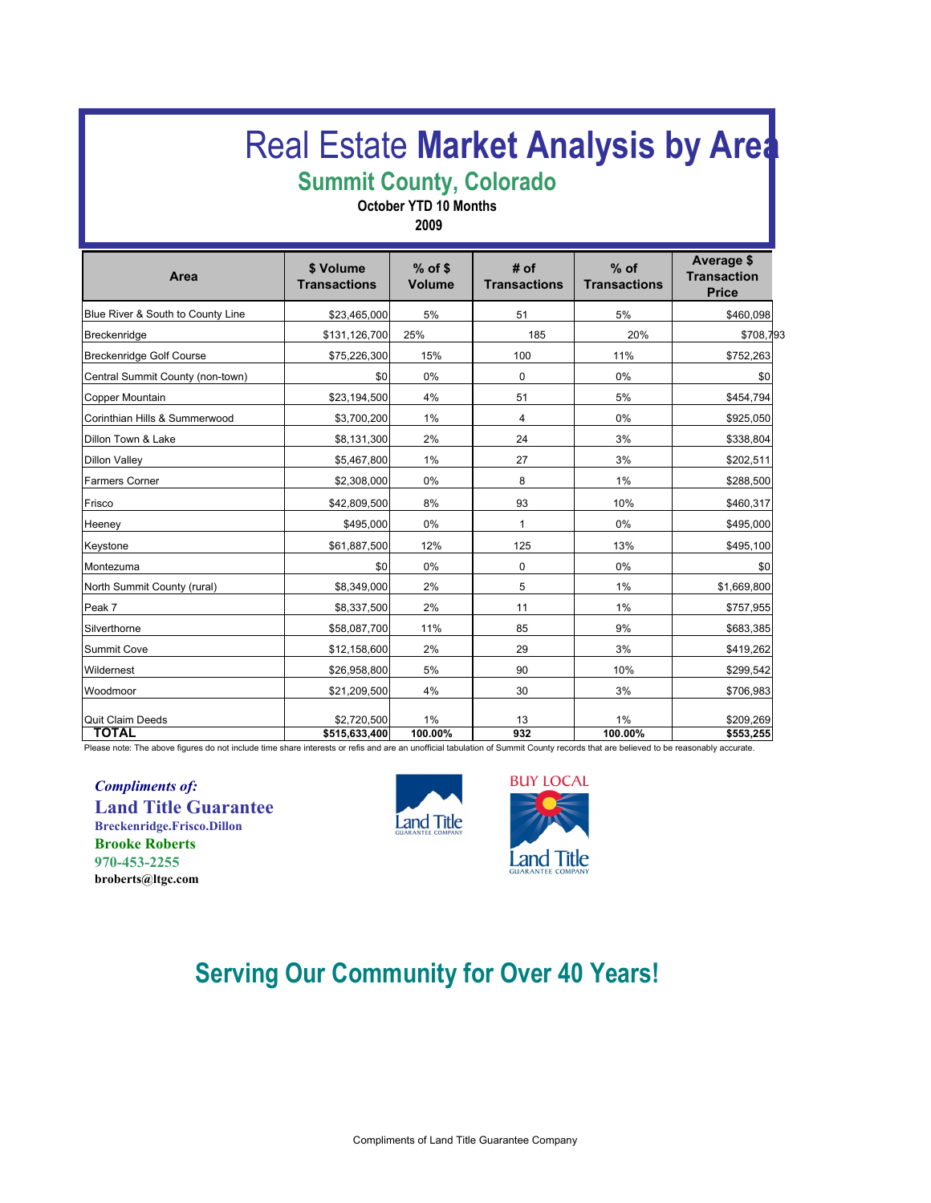# **Real Estate [Market Analysis](http://www.luckymountainhome.com/market_data/) by Area**

# Summit County, Colorado

October YTD 10 Months

2009

| Area                              | \$ Volume<br><b>Transactions</b> | $%$ of \$<br><b>Volume</b> | # of<br><b>Transactions</b> | $%$ of<br><b>Transactions</b> | Average \$<br><b>Transaction</b><br><b>Price</b> |
|-----------------------------------|----------------------------------|----------------------------|-----------------------------|-------------------------------|--------------------------------------------------|
| Blue River & South to County Line | \$23,465,000                     | 5%                         | 51                          | 5%                            | \$460,098                                        |
| Breckenridge                      | \$131,126,700                    | 25%                        | 185                         | 20%                           | \$708,793                                        |
| <b>Breckenridge Golf Course</b>   | \$75,226,300                     | 15%                        | 100                         | 11%                           | \$752,263                                        |
| Central Summit County (non-town)  | \$0                              | 0%                         | 0                           | 0%                            | \$0                                              |
| <b>Copper Mountain</b>            | \$23,194,500                     | 4%                         | 51                          | 5%                            | \$454,794                                        |
| Corinthian Hills & Summerwood     | \$3,700,200                      | $1\%$                      | 4                           | 0%                            | \$925,050                                        |
| Dillon Town & Lake                | \$8,131,300                      | 2%                         | 24                          | 3%                            | \$338,804                                        |
| <b>Dillon Valley</b>              | \$5,467,800                      | 1%                         | 27                          | 3%                            | \$202,511                                        |
| <b>Farmers Corner</b>             | \$2,308,000                      | 0%                         | 8                           | 1%                            | \$288,500                                        |
| Frisco                            | \$42,809,500                     | 8%                         | 93                          | 10%                           | \$460,317                                        |
| Heeney                            | \$495,000                        | 0%                         | 1                           | 0%                            | \$495,000                                        |
| Keystone                          | \$61,887,500                     | 12%                        | 125                         | 13%                           | \$495,100                                        |
| Montezuma                         | \$0                              | 0%                         | 0                           | 0%                            | \$0                                              |
| North Summit County (rural)       | \$8,349,000                      | 2%                         | 5                           | 1%                            | \$1,669,800                                      |
| Peak 7                            | \$8,337,500                      | 2%                         | 11                          | 1%                            | \$757,955                                        |
| Silverthorne                      | \$58,087,700                     | 11%                        | 85                          | 9%                            | \$683,385                                        |
| Summit Cove                       | \$12,158,600                     | 2%                         | 29                          | 3%                            | \$419,262                                        |
| Wildernest                        | \$26,958,800                     | 5%                         | 90                          | 10%                           | \$299,542                                        |
| Woodmoor                          | \$21,209,500                     | 4%                         | 30                          | 3%                            | \$706,983                                        |
| Quit Claim Deeds<br><b>TOTAL</b>  | \$2,720,500<br>\$515,633,400     | 1%<br>100.00%              | 13<br>932                   | 1%<br>100.00%                 | \$209,269<br>\$553,255                           |

Please note: The above figures do not include time share interests or refis and are an unofficial tabulation of Summit County records that are believed to be reasonably accurate.

Compliments of: Land Title Guarantee Breckenridge.Frisco.Dillon Brooke Roberts 970-453-2255 broberts@ltgc.com





# Serving Our Community for Over 40 Years!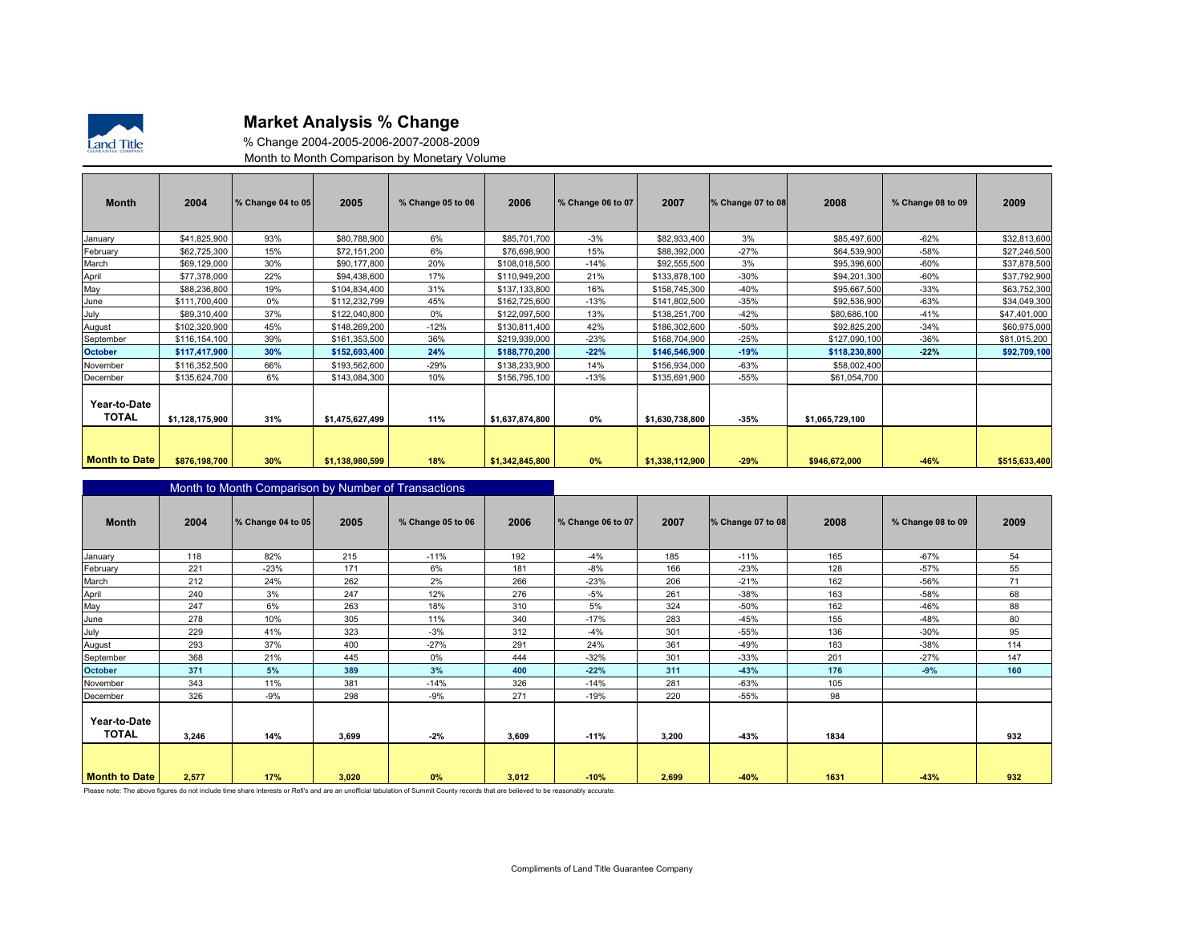

#### Market Analysis % Change

 % Change 2004-2005-2006-2007-2008-2009Month to Month Comparison by Monetary Volume

| <b>Month</b>                 | 2004            | % Change 04 to 05 | 2005            | % Change 05 to 06 | 2006            | % Change 06 to 07 | 2007            | % Change 07 to 08 | 2008            | % Change 08 to 09 | 2009          |
|------------------------------|-----------------|-------------------|-----------------|-------------------|-----------------|-------------------|-----------------|-------------------|-----------------|-------------------|---------------|
| January                      | \$41,825,900    | 93%               | \$80,788,900    | 6%                | \$85,701,700    | $-3%$             | \$82,933,400    | 3%                | \$85,497,600    | $-62%$            | \$32,813,600  |
| February                     | \$62,725,300    | 15%               | \$72,151,200    | 6%                | \$76,698,900    | 15%               | \$88,392,000    | $-27%$            | \$64,539,900    | -58%              | \$27,246,500  |
| March                        | \$69,129,000    | 30%               | \$90,177,800    | 20%               | \$108,018,500   | $-14%$            | \$92,555,500    | 3%                | \$95,396,600    | $-60%$            | \$37,878,500  |
| April                        | \$77,378,000    | 22%               | \$94,438,600    | 17%               | \$110,949,200   | 21%               | \$133,878,100   | $-30%$            | \$94,201,300    | $-60%$            | \$37,792,900  |
| May                          | \$88,236,800    | 19%               | \$104,834,400   | 31%               | \$137,133,800   | 16%               | \$158,745,300   | $-40%$            | \$95,667,500    | $-33%$            | \$63,752,300  |
| June                         | \$111,700,400   | 0%                | \$112,232,799   | 45%               | \$162,725,600   | $-13%$            | \$141,802,500   | $-35%$            | \$92,536,900    | $-63%$            | \$34,049,300  |
| July                         | \$89,310,400    | 37%               | \$122,040,800   | 0%                | \$122,097,500   | 13%               | \$138,251,700   | $-42%$            | \$80,686,100    | $-41%$            | \$47,401,000  |
| August                       | \$102,320,900   | 45%               | \$148,269,200   | $-12%$            | \$130,811,400   | 42%               | \$186,302,600   | $-50%$            | \$92,825,200    | $-34%$            | \$60,975,000  |
| September                    | \$116,154,100   | 39%               | \$161,353,500   | 36%               | \$219,939,000   | $-23%$            | \$168,704,900   | $-25%$            | \$127,090,100   | $-36%$            | \$81,015,200  |
| <b>October</b>               | \$117,417,900   | 30%               | \$152,693,400   | 24%               | \$188,770,200   | $-22%$            | \$146,546,900   | $-19%$            | \$118,230,800   | $-22%$            | \$92,709,100  |
| November                     | \$116,352,500   | 66%               | \$193,562,600   | $-29%$            | \$138,233,900   | 14%               | \$156,934,000   | $-63%$            | \$58,002,400    |                   |               |
| December                     | \$135,624,700   | 6%                | \$143,084,300   | 10%               | \$156,795,100   | $-13%$            | \$135,691,900   | $-55%$            | \$61,054,700    |                   |               |
| Year-to-Date<br><b>TOTAL</b> | \$1,128,175,900 | 31%               | \$1,475,627,499 | 11%               | \$1,637,874,800 | 0%                | \$1,630,738,800 | $-35%$            | \$1,065,729,100 |                   |               |
| <b>Month to Date</b>         | \$876,198,700   | 30%               | \$1,138,980,599 | 18%               | \$1,342,845,800 | 0%                | \$1,338,112,900 | $-29%$            | \$946,672,000   | $-46%$            | \$515,633,400 |

|                              | Month to Month Comparison by Number of Transactions |                   |       |                                                                                                                                                                                     |       |                   |       |                   |      |                   |      |
|------------------------------|-----------------------------------------------------|-------------------|-------|-------------------------------------------------------------------------------------------------------------------------------------------------------------------------------------|-------|-------------------|-------|-------------------|------|-------------------|------|
| <b>Month</b>                 | 2004                                                | % Change 04 to 05 | 2005  | % Change 05 to 06                                                                                                                                                                   | 2006  | % Change 06 to 07 | 2007  | % Change 07 to 08 | 2008 | % Change 08 to 09 | 2009 |
| January                      | 118                                                 | 82%               | 215   | $-11%$                                                                                                                                                                              | 192   | $-4%$             | 185   | $-11%$            | 165  | $-67%$            | 54   |
| February                     | 221                                                 | $-23%$            | 171   | 6%                                                                                                                                                                                  | 181   | $-8%$             | 166   | $-23%$            | 128  | $-57%$            | 55   |
| March                        | 212                                                 | 24%               | 262   | 2%                                                                                                                                                                                  | 266   | $-23%$            | 206   | $-21%$            | 162  | -56%              | 71   |
| April                        | 240                                                 | 3%                | 247   | 12%                                                                                                                                                                                 | 276   | $-5%$             | 261   | $-38%$            | 163  | $-58%$            | 68   |
| May                          | 247                                                 | 6%                | 263   | 18%                                                                                                                                                                                 | 310   | 5%                | 324   | -50%              | 162  | -46%              | 88   |
| June                         | 278                                                 | 10%               | 305   | 11%                                                                                                                                                                                 | 340   | $-17%$            | 283   | $-45%$            | 155  | $-48%$            | 80   |
| July                         | 229                                                 | 41%               | 323   | $-3%$                                                                                                                                                                               | 312   | -4%               | 301   | $-55%$            | 136  | $-30%$            | 95   |
| August                       | 293                                                 | 37%               | 400   | $-27%$                                                                                                                                                                              | 291   | 24%               | 361   | -49%              | 183  | $-38%$            | 114  |
| September                    | 368                                                 | 21%               | 445   | 0%                                                                                                                                                                                  | 444   | $-32%$            | 301   | $-33%$            | 201  | $-27%$            | 147  |
| <b>October</b>               | 371                                                 | 5%                | 389   | 3%                                                                                                                                                                                  | 400   | $-22%$            | 311   | $-43%$            | 176  | $-9%$             | 160  |
| November                     | 343                                                 | 11%               | 381   | $-14%$                                                                                                                                                                              | 326   | $-14%$            | 281   | $-63%$            | 105  |                   |      |
| December                     | 326                                                 | $-9%$             | 298   | $-9%$                                                                                                                                                                               | 271   | $-19%$            | 220   | $-55%$            | 98   |                   |      |
| Year-to-Date<br><b>TOTAL</b> | 3,246                                               | 14%               | 3,699 | $-2%$                                                                                                                                                                               | 3,609 | $-11%$            | 3,200 | -43%              | 1834 |                   | 932  |
| <b>Month to Date</b>         | 2,577                                               | 17%               | 3.020 | 0%                                                                                                                                                                                  | 3.012 | $-10%$            | 2,699 | $-40%$            | 1631 | $-43%$            | 932  |
|                              |                                                     |                   |       | Please note: The above figures do not include time share interests or Refi's and are an unofficial tabulation of Summit County records that are believed to be reasonably accurate. |       |                   |       |                   |      |                   |      |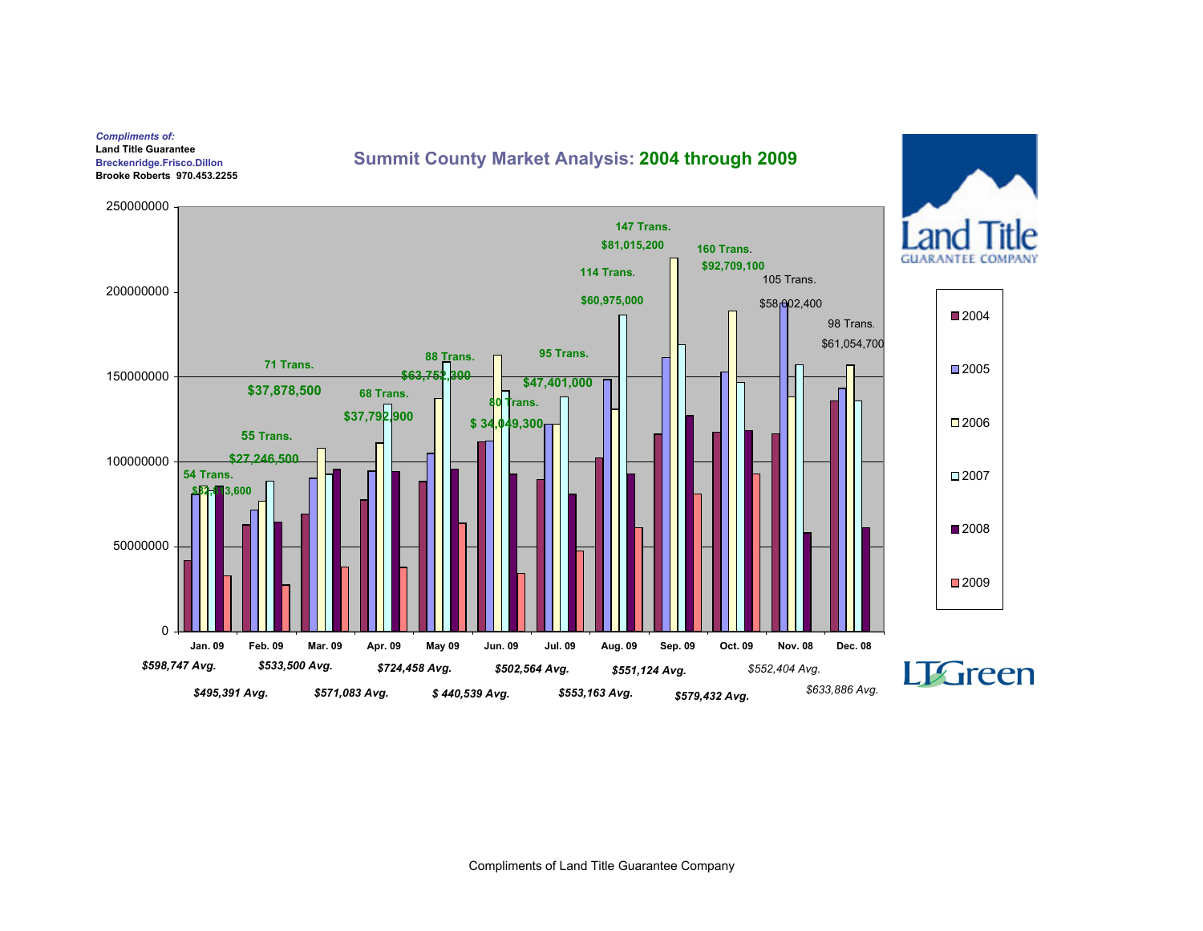#### Compliments of: Land Title Guarantee Breckenridge.Frisco.DillonBrooke Roberts 970.453.2255

#### [Summit County Market Analysis](http://www.luckymountainhome.com/market_data/): 2004 through 2009

250000000147 Trans. $\overline{a}$ \$81,015,200160 Trans.**GUARANTEE COMI** \$92,709,100114 Trans.105 Trans.200000000\$60,975,000 $$58,002,400$ ■2004 98 Trans.\$61,054,70095 Trans.88 Trans.71 Trans.■2005 150000000\$63.75 \$47,401,000\$37,878,500 68 Trans.rans. \$37,792,9002006\$ 34,049,30055 Trans.\$27,246,500 10000000054 Trans.2007\$32,813,600■2008 50000000■2009  $\Omega$ Jan. 09 Feb. 09 Mar. 09 Apr. 09 May 09 Jun. 09 Jul. 09 Aug. 09 Sep. 09 Oct. 09 Nov. 08 Dec. 08 \$598,747 Avg.\$533,500 Avg.\$724,458 Avg.**LTGreen** \$552,404 Avg.\$502,564 Avg.\$551,124 Avg.\$633,886 Avg.\$495,391 Avg.\$571,083 Avg.\$ 440,539 Avg.\$553,163 Avg.\$579,432 Avg.

Compliments of Land Title Guarantee Company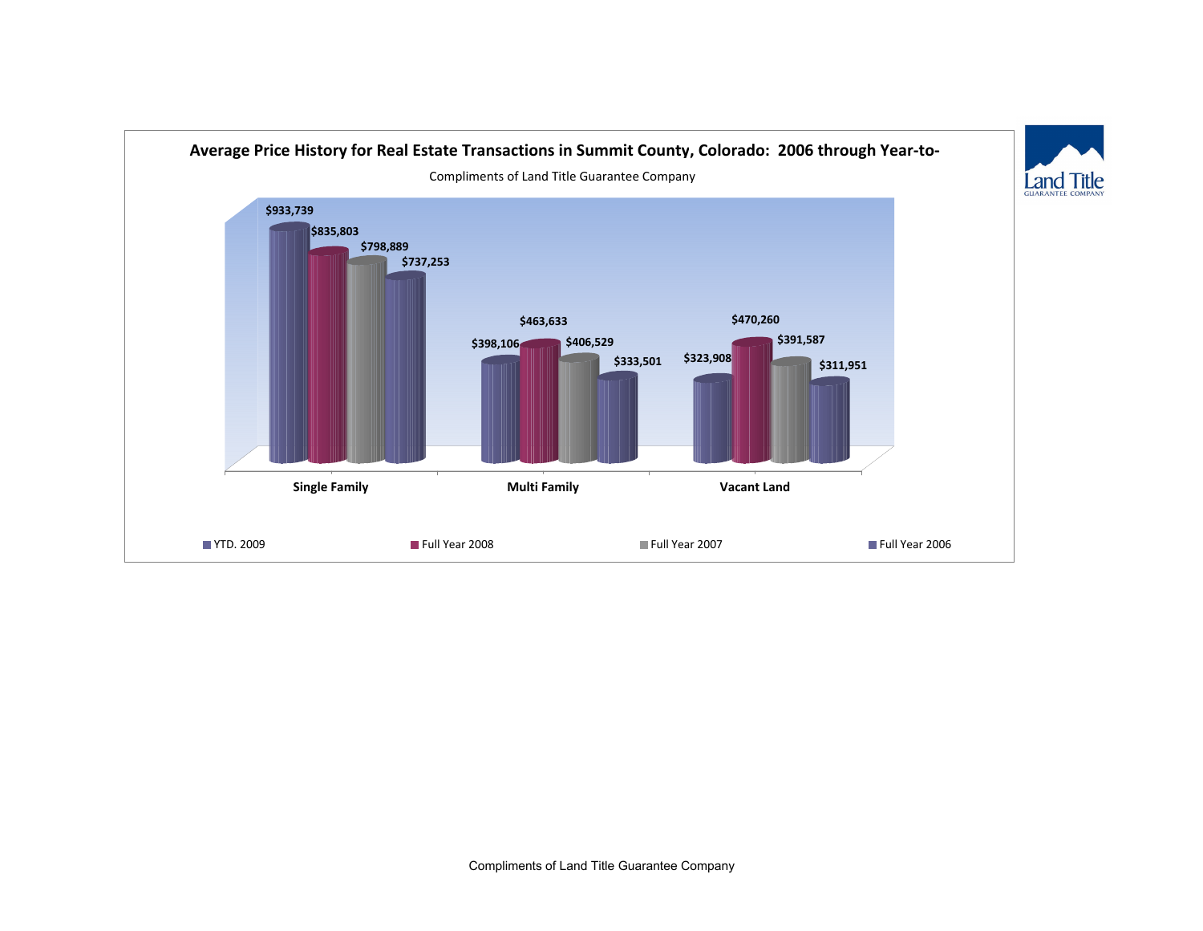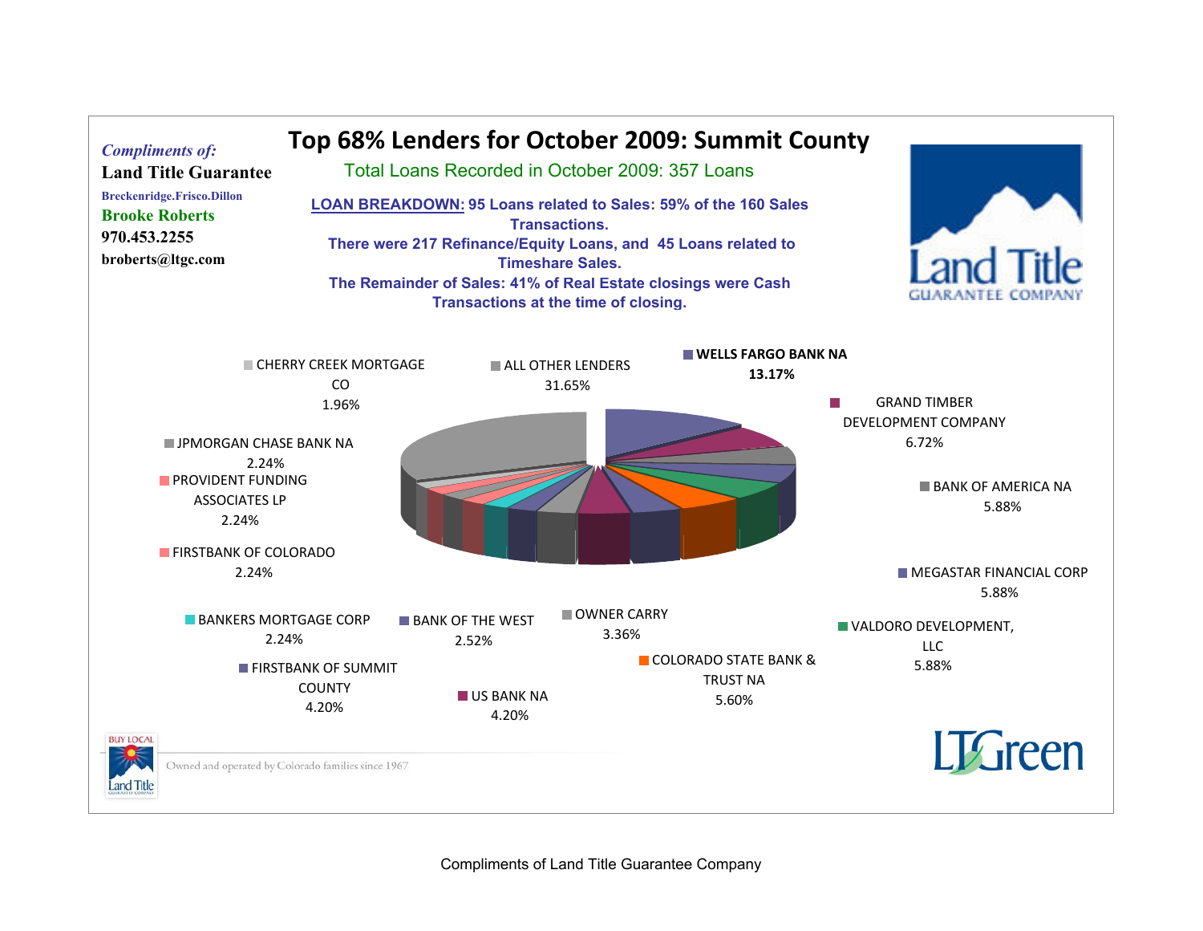

Compliments of Land Title Guarantee Company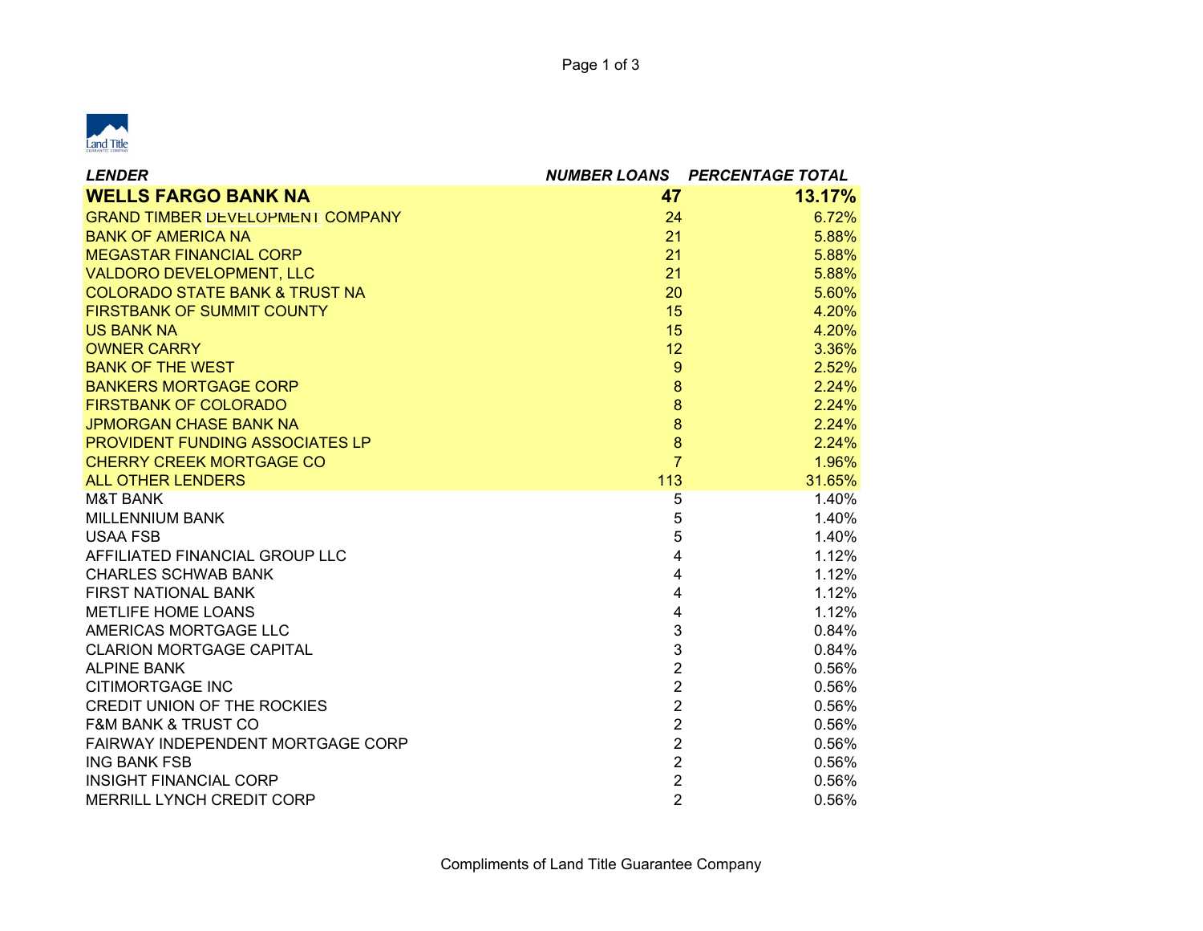

| <b>LENDER</b>                             |                | <b>NUMBER LOANS PERCENTAGE TOTAL</b> |
|-------------------------------------------|----------------|--------------------------------------|
| <b>WELLS FARGO BANK NA</b>                | 47             | 13.17%                               |
| <b>GRAND TIMBER DEVELOPMENT COMPANY</b>   | 24             | 6.72%                                |
| <b>BANK OF AMERICA NA</b>                 | 21             | 5.88%                                |
| <b>MEGASTAR FINANCIAL CORP</b>            | 21             | 5.88%                                |
| <b>VALDORO DEVELOPMENT, LLC</b>           | 21             | 5.88%                                |
| <b>COLORADO STATE BANK &amp; TRUST NA</b> | 20             | 5.60%                                |
| <b>FIRSTBANK OF SUMMIT COUNTY</b>         | 15             | 4.20%                                |
| <b>US BANK NA</b>                         | 15             | 4.20%                                |
| <b>OWNER CARRY</b>                        | 12             | 3.36%                                |
| <b>BANK OF THE WEST</b>                   | $\overline{9}$ | 2.52%                                |
| <b>BANKERS MORTGAGE CORP</b>              | 8              | 2.24%                                |
| <b>FIRSTBANK OF COLORADO</b>              | $\bf{8}$       | 2.24%                                |
| <b>JPMORGAN CHASE BANK NA</b>             | $\bf{8}$       | 2.24%                                |
| PROVIDENT FUNDING ASSOCIATES LP           | $\overline{8}$ | 2.24%                                |
| <b>CHERRY CREEK MORTGAGE CO</b>           | $\overline{7}$ | 1.96%                                |
| <b>ALL OTHER LENDERS</b>                  | 113            | 31.65%                               |
| <b>M&amp;T BANK</b>                       | 5              | 1.40%                                |
| <b>MILLENNIUM BANK</b>                    | 5              | 1.40%                                |
| <b>USAA FSB</b>                           | 5              | 1.40%                                |
| AFFILIATED FINANCIAL GROUP LLC            | 4              | 1.12%                                |
| <b>CHARLES SCHWAB BANK</b>                | 4              | 1.12%                                |
| <b>FIRST NATIONAL BANK</b>                | $\overline{4}$ | 1.12%                                |
| METLIFE HOME LOANS                        | 4              | 1.12%                                |
| AMERICAS MORTGAGE LLC                     | 3              | 0.84%                                |
| <b>CLARION MORTGAGE CAPITAL</b>           | 3              | 0.84%                                |
| <b>ALPINE BANK</b>                        | $\overline{2}$ | 0.56%                                |
| <b>CITIMORTGAGE INC</b>                   | $\overline{2}$ | 0.56%                                |
| <b>CREDIT UNION OF THE ROCKIES</b>        | $\overline{2}$ | 0.56%                                |
| <b>F&amp;M BANK &amp; TRUST CO</b>        | $\overline{2}$ | 0.56%                                |
| FAIRWAY INDEPENDENT MORTGAGE CORP         | $\overline{2}$ | 0.56%                                |
| <b>ING BANK FSB</b>                       | $\overline{2}$ | 0.56%                                |
| <b>INSIGHT FINANCIAL CORP</b>             | $\overline{2}$ | 0.56%                                |
| <b>MERRILL LYNCH CREDIT CORP</b>          | $\overline{2}$ | 0.56%                                |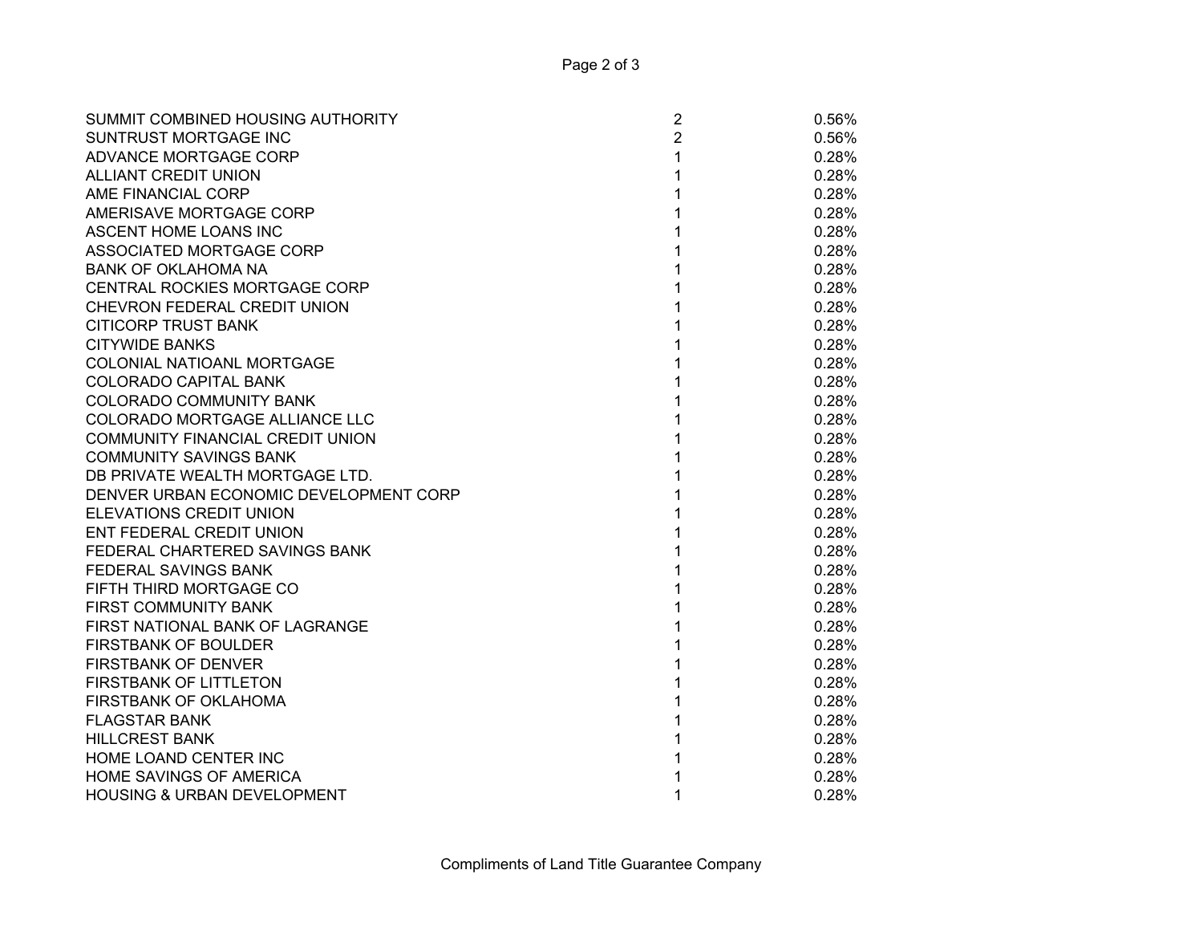| SUMMIT COMBINED HOUSING AUTHORITY      | $\overline{2}$ | 0.56% |
|----------------------------------------|----------------|-------|
| SUNTRUST MORTGAGE INC                  | $\overline{2}$ | 0.56% |
| ADVANCE MORTGAGE CORP                  | 1              | 0.28% |
| <b>ALLIANT CREDIT UNION</b>            | 1              | 0.28% |
| AME FINANCIAL CORP                     |                | 0.28% |
| AMERISAVE MORTGAGE CORP                |                | 0.28% |
| ASCENT HOME LOANS INC                  |                | 0.28% |
| ASSOCIATED MORTGAGE CORP               |                | 0.28% |
| BANK OF OKLAHOMA NA                    | 1              | 0.28% |
| CENTRAL ROCKIES MORTGAGE CORP          | 1              | 0.28% |
| CHEVRON FEDERAL CREDIT UNION           | 1              | 0.28% |
| CITICORP TRUST BANK                    | 1              | 0.28% |
| <b>CITYWIDE BANKS</b>                  | 1              | 0.28% |
| COLONIAL NATIOANL MORTGAGE             | 1              | 0.28% |
| COLORADO CAPITAL BANK                  | 1              | 0.28% |
| COLORADO COMMUNITY BANK                |                | 0.28% |
| COLORADO MORTGAGE ALLIANCE LLC         |                | 0.28% |
| COMMUNITY FINANCIAL CREDIT UNION       |                | 0.28% |
| COMMUNITY SAVINGS BANK                 |                | 0.28% |
| DB PRIVATE WEALTH MORTGAGE LTD.        |                | 0.28% |
| DENVER URBAN ECONOMIC DEVELOPMENT CORP |                | 0.28% |
| ELEVATIONS CREDIT UNION                |                | 0.28% |
| ENT FEDERAL CREDIT UNION               |                | 0.28% |
| FEDERAL CHARTERED SAVINGS BANK         |                | 0.28% |
| FEDERAL SAVINGS BANK                   |                | 0.28% |
| FIFTH THIRD MORTGAGE CO                |                | 0.28% |
| <b>FIRST COMMUNITY BANK</b>            |                | 0.28% |
| FIRST NATIONAL BANK OF LAGRANGE        | 1              | 0.28% |
| <b>FIRSTBANK OF BOULDER</b>            | 1              | 0.28% |
| FIRSTBANK OF DENVER                    | 1              | 0.28% |
| FIRSTBANK OF LITTLETON                 | 1              | 0.28% |
| FIRSTBANK OF OKLAHOMA                  | 1              | 0.28% |
| FLAGSTAR BANK                          |                | 0.28% |
| <b>HILLCREST BANK</b>                  | 1              | 0.28% |
| HOME LOAND CENTER INC                  | 1              | 0.28% |
| HOME SAVINGS OF AMERICA                |                | 0.28% |
| <b>HOUSING &amp; URBAN DEVELOPMENT</b> | 1              | 0.28% |
|                                        |                |       |